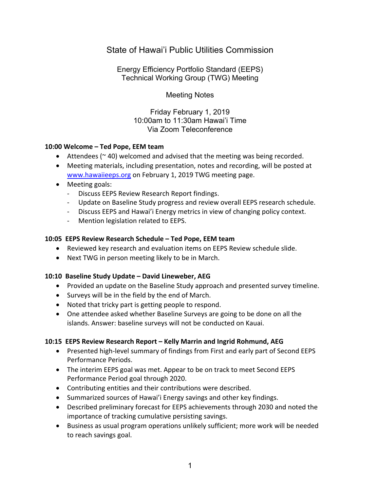# State of Hawai'i Public Utilities Commission

Energy Efficiency Portfolio Standard (EEPS) Technical Working Group (TWG) Meeting

Meeting Notes

Friday February 1, 2019 10:00am to 11:30am Hawai'i Time Via Zoom Teleconference

#### **10:00 Welcome – Ted Pope, EEM team**

- Attendees ( $\approx$  40) welcomed and advised that the meeting was being recorded.
- Meeting materials, including presentation, notes and recording, will be posted at www.hawaiieeps.org on February 1, 2019 TWG meeting page.
- Meeting goals:
	- Discuss EEPS Review Research Report findings.
	- Update on Baseline Study progress and review overall EEPS research schedule.
	- Discuss EEPS and Hawai'i Energy metrics in view of changing policy context.
	- Mention legislation related to EEPS.

#### **10:05 EEPS Review Research Schedule – Ted Pope, EEM team**

- Reviewed key research and evaluation items on EEPS Review schedule slide.
- Next TWG in person meeting likely to be in March.

## **10:10 Baseline Study Update – David Lineweber, AEG**

- Provided an update on the Baseline Study approach and presented survey timeline.
- Surveys will be in the field by the end of March.
- Noted that tricky part is getting people to respond.
- One attendee asked whether Baseline Surveys are going to be done on all the islands. Answer: baseline surveys will not be conducted on Kauai.

## **10:15 EEPS Review Research Report – Kelly Marrin and Ingrid Rohmund, AEG**

- Presented high-level summary of findings from First and early part of Second EEPS Performance Periods.
- The interim EEPS goal was met. Appear to be on track to meet Second EEPS Performance Period goal through 2020.
- Contributing entities and their contributions were described.
- Summarized sources of Hawai'i Energy savings and other key findings.
- Described preliminary forecast for EEPS achievements through 2030 and noted the importance of tracking cumulative persisting savings.
- Business as usual program operations unlikely sufficient; more work will be needed to reach savings goal.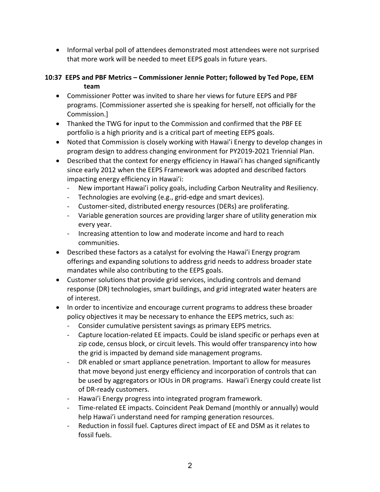• Informal verbal poll of attendees demonstrated most attendees were not surprised that more work will be needed to meet EEPS goals in future years.

# **10:37 EEPS and PBF Metrics – Commissioner Jennie Potter; followed by Ted Pope, EEM team**

- Commissioner Potter was invited to share her views for future EEPS and PBF programs. [Commissioner asserted she is speaking for herself, not officially for the Commission.]
- Thanked the TWG for input to the Commission and confirmed that the PBF EE portfolio is a high priority and is a critical part of meeting EEPS goals.
- Noted that Commission is closely working with Hawai'i Energy to develop changes in program design to address changing environment for PY2019-2021 Triennial Plan.
- Described that the context for energy efficiency in Hawai'i has changed significantly since early 2012 when the EEPS Framework was adopted and described factors impacting energy efficiency in Hawai'i:
	- New important Hawai'i policy goals, including Carbon Neutrality and Resiliency.
	- Technologies are evolving (e.g., grid-edge and smart devices).
	- Customer-sited, distributed energy resources (DERs) are proliferating.
	- Variable generation sources are providing larger share of utility generation mix every year.
	- Increasing attention to low and moderate income and hard to reach communities.
- Described these factors as a catalyst for evolving the Hawai'i Energy program offerings and expanding solutions to address grid needs to address broader state mandates while also contributing to the EEPS goals.
- Customer solutions that provide grid services, including controls and demand response (DR) technologies, smart buildings, and grid integrated water heaters are of interest.
- In order to incentivize and encourage current programs to address these broader policy objectives it may be necessary to enhance the EEPS metrics, such as:
	- Consider cumulative persistent savings as primary EEPS metrics.
	- Capture location-related EE impacts. Could be island specific or perhaps even at zip code, census block, or circuit levels. This would offer transparency into how the grid is impacted by demand side management programs.
	- DR enabled or smart appliance penetration. Important to allow for measures that move beyond just energy efficiency and incorporation of controls that can be used by aggregators or IOUs in DR programs. Hawai'i Energy could create list of DR-ready customers.
	- Hawai'i Energy progress into integrated program framework.
	- Time-related EE impacts. Coincident Peak Demand (monthly or annually) would help Hawai'i understand need for ramping generation resources.
	- Reduction in fossil fuel. Captures direct impact of EE and DSM as it relates to fossil fuels.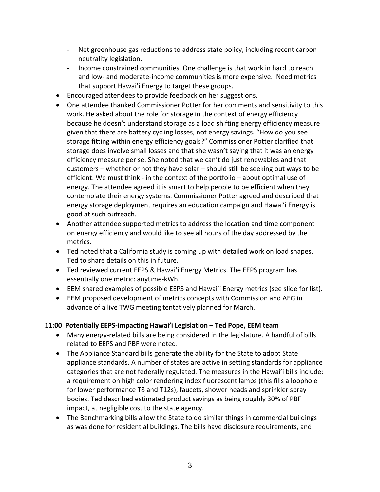- Net greenhouse gas reductions to address state policy, including recent carbon neutrality legislation.
- Income constrained communities. One challenge is that work in hard to reach and low- and moderate-income communities is more expensive. Need metrics that support Hawai'i Energy to target these groups.
- Encouraged attendees to provide feedback on her suggestions.
- One attendee thanked Commissioner Potter for her comments and sensitivity to this work. He asked about the role for storage in the context of energy efficiency because he doesn't understand storage as a load shifting energy efficiency measure given that there are battery cycling losses, not energy savings. "How do you see storage fitting within energy efficiency goals?" Commissioner Potter clarified that storage does involve small losses and that she wasn't saying that it was an energy efficiency measure per se. She noted that we can't do just renewables and that customers – whether or not they have solar – should still be seeking out ways to be efficient. We must think - in the context of the portfolio – about optimal use of energy. The attendee agreed it is smart to help people to be efficient when they contemplate their energy systems. Commissioner Potter agreed and described that energy storage deployment requires an education campaign and Hawai'i Energy is good at such outreach.
- Another attendee supported metrics to address the location and time component on energy efficiency and would like to see all hours of the day addressed by the metrics.
- Ted noted that a California study is coming up with detailed work on load shapes. Ted to share details on this in future.
- Ted reviewed current EEPS & Hawai'i Energy Metrics. The EEPS program has essentially one metric: anytime-kWh.
- EEM shared examples of possible EEPS and Hawai'i Energy metrics (see slide for list).
- EEM proposed development of metrics concepts with Commission and AEG in advance of a live TWG meeting tentatively planned for March.

## **11:00 Potentially EEPS-impacting Hawai'i Legislation – Ted Pope, EEM team**

- Many energy-related bills are being considered in the legislature. A handful of bills related to EEPS and PBF were noted.
- The Appliance Standard bills generate the ability for the State to adopt State appliance standards. A number of states are active in setting standards for appliance categories that are not federally regulated. The measures in the Hawai'i bills include: a requirement on high color rendering index fluorescent lamps (this fills a loophole for lower performance T8 and T12s), faucets, shower heads and sprinkler spray bodies. Ted described estimated product savings as being roughly 30% of PBF impact, at negligible cost to the state agency.
- The Benchmarking bills allow the State to do similar things in commercial buildings as was done for residential buildings. The bills have disclosure requirements, and